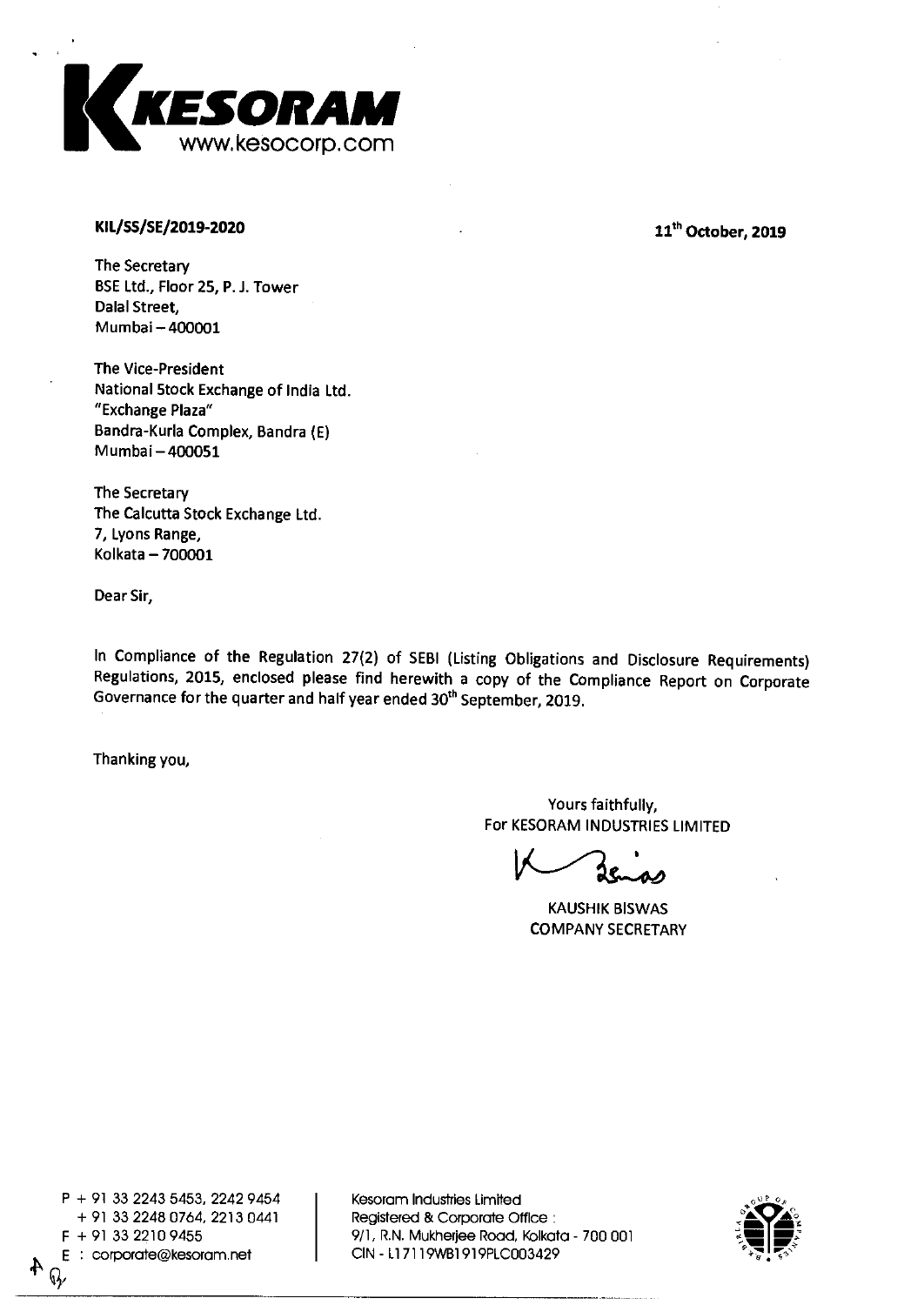

## **KIL/SS/SE/2019-2020**

11<sup>th</sup> October, 2019

**The Secretary BSE Ltd., Floor 25, P. J. Tower Dalai Street, Mumbai — 400001** 

**The Vice-President National Stock Exchange of India Ltd. "Exchange Plaza" Bandra-Kurla Complex, Bandra (E) Mumbai —400051** 

**The Secretary The Calcutta Stock Exchange Ltd. 7, Lyons Range, Kolkata —700001** 

**Dear Sir,** 

**In Compliance of the Regulation 27(2) of SEBI (Listing Obligations and Disclosure Requirements) Regulations, 2015, enclosed please find herewith a copy of the Compliance Report on Corporate Governance for the quarter and half year ended 30 th September, 2019.** 

**Thanking you,** 

**Yours faithfully, For KESORAM INDUSTRIES LIMITED** 

**KAUSHIK BISWAS COMPANY SECRETARY** 

**P + 91 33 2243 5453, 2242 9454 + 91 33 2248 0764, 2213 0441 E : corporate@kesoram.net CIN - Ll 7119WB1919PLC003429**  $\mathbb{Q}$ 

**Kesoram Industries Limited Registered & Corporate Office : F + 91 33 2210 9455 9/1, R.N. Mukherjee Road, Kolkata - 700 001** 

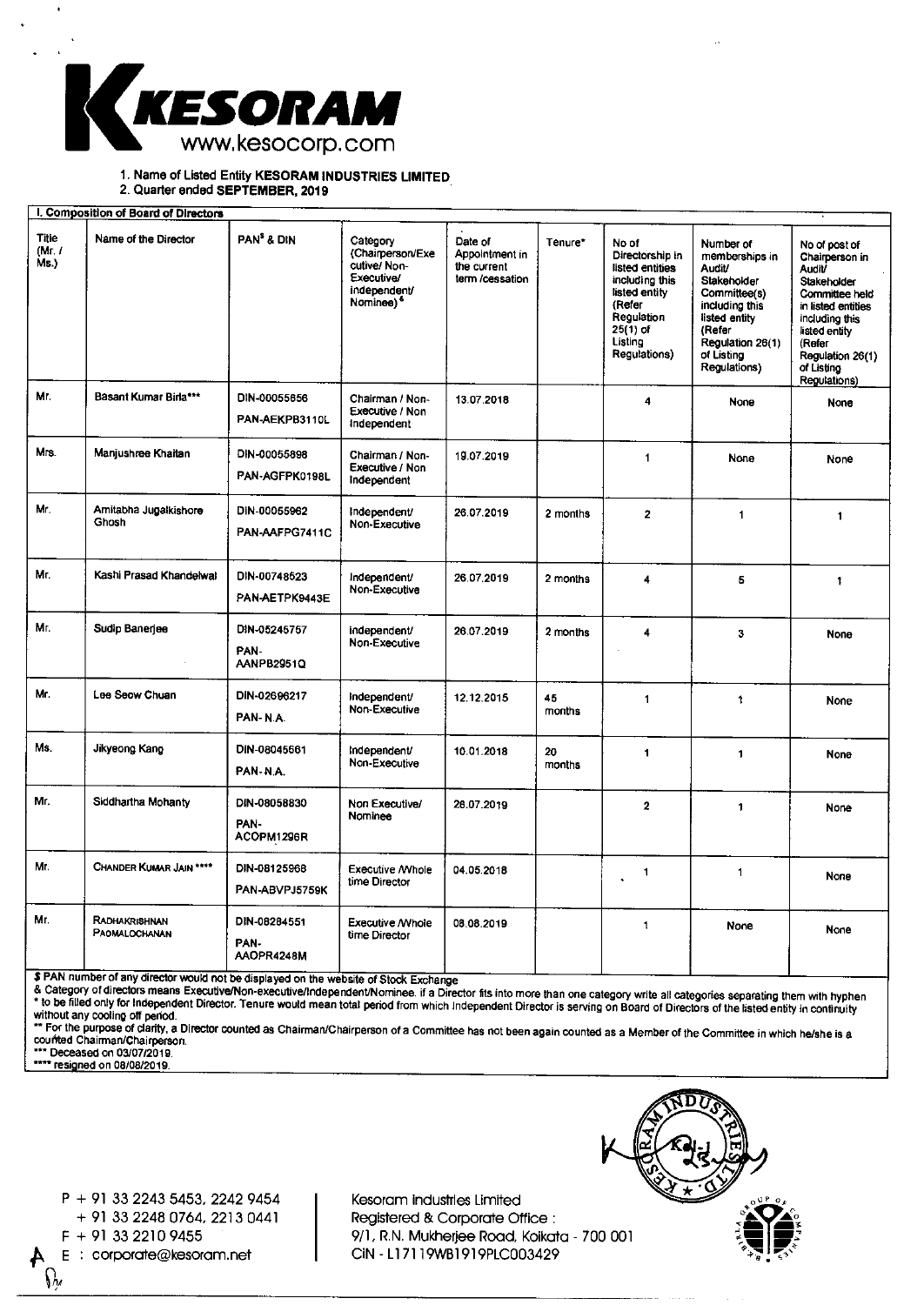

1. Name of Listed Entity KESORAM INDUSTRIES LIMITED

2. Quarter ended SEPTEMBER, 2019

| I. Composition of Board of Directors |                                       |                                    |                                                                                                    |                                                             |              |                                                                                                                                                 |                                                                                                                                                                            |                                                                                                                                                                                                        |
|--------------------------------------|---------------------------------------|------------------------------------|----------------------------------------------------------------------------------------------------|-------------------------------------------------------------|--------------|-------------------------------------------------------------------------------------------------------------------------------------------------|----------------------------------------------------------------------------------------------------------------------------------------------------------------------------|--------------------------------------------------------------------------------------------------------------------------------------------------------------------------------------------------------|
| <b>Title</b><br>(Mr. I)<br>Ms.)      | Name of the Director                  | PAN <sup>\$</sup> & DIN            | Category<br>(Chairperson/Exe<br>cutive/Non-<br>Executive/<br>independent/<br>Nominee) <sup>6</sup> | Date of<br>Appointment in<br>the current<br>term /cessation | Tenure*      | No of<br>Directorship in<br>listed entities<br>including this<br>listed entity<br>(Refer<br>Regulation<br>$25(1)$ of<br>Listing<br>Regulations) | Number of<br>memberships in<br><b>Audit/</b><br>Stakeholder<br>Committee(s)<br>including this<br>listed entity<br>(Refer<br>Regulation 26(1)<br>of Listing<br>Regulations) | No of post of<br>Chairperson in<br><b>Audit/</b><br>Stakeholder<br>Committee held<br>in listed entities<br>including this<br>listed entity<br>(Refer<br>Regulation 26(1)<br>of Listing<br>Regulations) |
| Mr.                                  | Basant Kumar Birla***                 | DIN-00055656<br>PAN-AEKPB3110L     | Chairman / Non-<br>Executive / Non<br>independent                                                  | 13.07.2018                                                  |              | $\blacktriangleleft$                                                                                                                            | None                                                                                                                                                                       | None                                                                                                                                                                                                   |
| Mrs.                                 | Manjushree Khaitan                    | DIN-00055898<br>PAN-AGFPK0198L     | Chairman / Non-<br>Executive / Non<br>Independent                                                  | 19.07.2019                                                  |              | $\mathbf{1}$                                                                                                                                    | None                                                                                                                                                                       | None                                                                                                                                                                                                   |
| Mr.                                  | Amitabha Jugalkishore<br>Ghosh        | DIN-00055962<br>PAN-AAFPG7411C     | Independent/<br>Non-Executive                                                                      | 26.07.2019                                                  | 2 months     | $\mathbf{z}$                                                                                                                                    | 1                                                                                                                                                                          | 1                                                                                                                                                                                                      |
| Mr.                                  | Kashi Prasad Khandelwal               | DIN-00748523<br>PAN-AETPK9443E     | Independent/<br>Non-Executive                                                                      | 26.07.2019                                                  | 2 months     | 4                                                                                                                                               | 5                                                                                                                                                                          | $\ddagger$                                                                                                                                                                                             |
| Mr.                                  | Sudip Banerjee                        | DIN-05245757<br>PAN-<br>AANPB2951Q | independent/<br>Non-Executive                                                                      | 26.07.2019                                                  | 2 months     | 4                                                                                                                                               | $\overline{\mathbf{3}}$                                                                                                                                                    | None                                                                                                                                                                                                   |
| Mr.                                  | Lee Seow Chuan                        | DIN-02696217<br>PAN-N.A.           | Independent/<br>Non-Executive                                                                      | 12.12.2015                                                  | 45<br>months | 1                                                                                                                                               | 1                                                                                                                                                                          | None                                                                                                                                                                                                   |
| Ms.                                  | Jikyeong Kang                         | DIN-08045661<br>PAN-N.A.           | Independent/<br>Non-Executive                                                                      | 10.01.2018                                                  | 20<br>months | 1                                                                                                                                               | 1                                                                                                                                                                          | None                                                                                                                                                                                                   |
| Mr.                                  | Siddhartha Mohanty                    | DIN-08058830<br>PAN-<br>ACOPM1296R | Non Executive/<br>Nominee                                                                          | 26.07.2019                                                  |              | $\overline{2}$                                                                                                                                  | $\mathbf{1}$                                                                                                                                                               | None                                                                                                                                                                                                   |
| Mr.                                  | <b>CHANDER KUMAR JAIN ****</b>        | DIN-08125968<br>PAN-ABVPJ5759K     | <b>Executive / Vhole</b><br>time Director                                                          | 04.05.2018                                                  |              | $\mathbf{1}$                                                                                                                                    | 1                                                                                                                                                                          | None                                                                                                                                                                                                   |
| Mr.                                  | RADHAKRISHNAN<br><b>PAOMALOCHANAN</b> | DIN-08284551<br>PAN-<br>AAOPR4248M | Executive / Whole<br>time Director                                                                 | 08.08.2019                                                  |              | $\ddagger$                                                                                                                                      | None                                                                                                                                                                       | None                                                                                                                                                                                                   |

\$ PAN number of any director would not be displayed on the website of Stock Exchange

a Calegory of directors means Executive/Non-executive/Independent/Nominee. if a Director fits into more than one category write all categories separating them with hypherics of the listed entity in continuity without any cooling off period.

For the purpose of clarity, a Director counted as Chairman/Chairperson of a Committee has not been again counted as a Member of the Committee in which he/she is counted Chairman/Chairperson. \*\*\* Deceased on 03/07/2019.

\*\*\*\* resigned on 08/08/2019.

 $\Omega$ 

P + 91 33 2243 5453, 2242 9454 + 91 33 2248 0764, 2213 0441 E : corporate@kesoram.net

Kesoram Industries Limited Registered & Corporate Office : F + 91 33 2210 9455 9/1, R.N. Mukherjee Road, Kolkata - 700 001

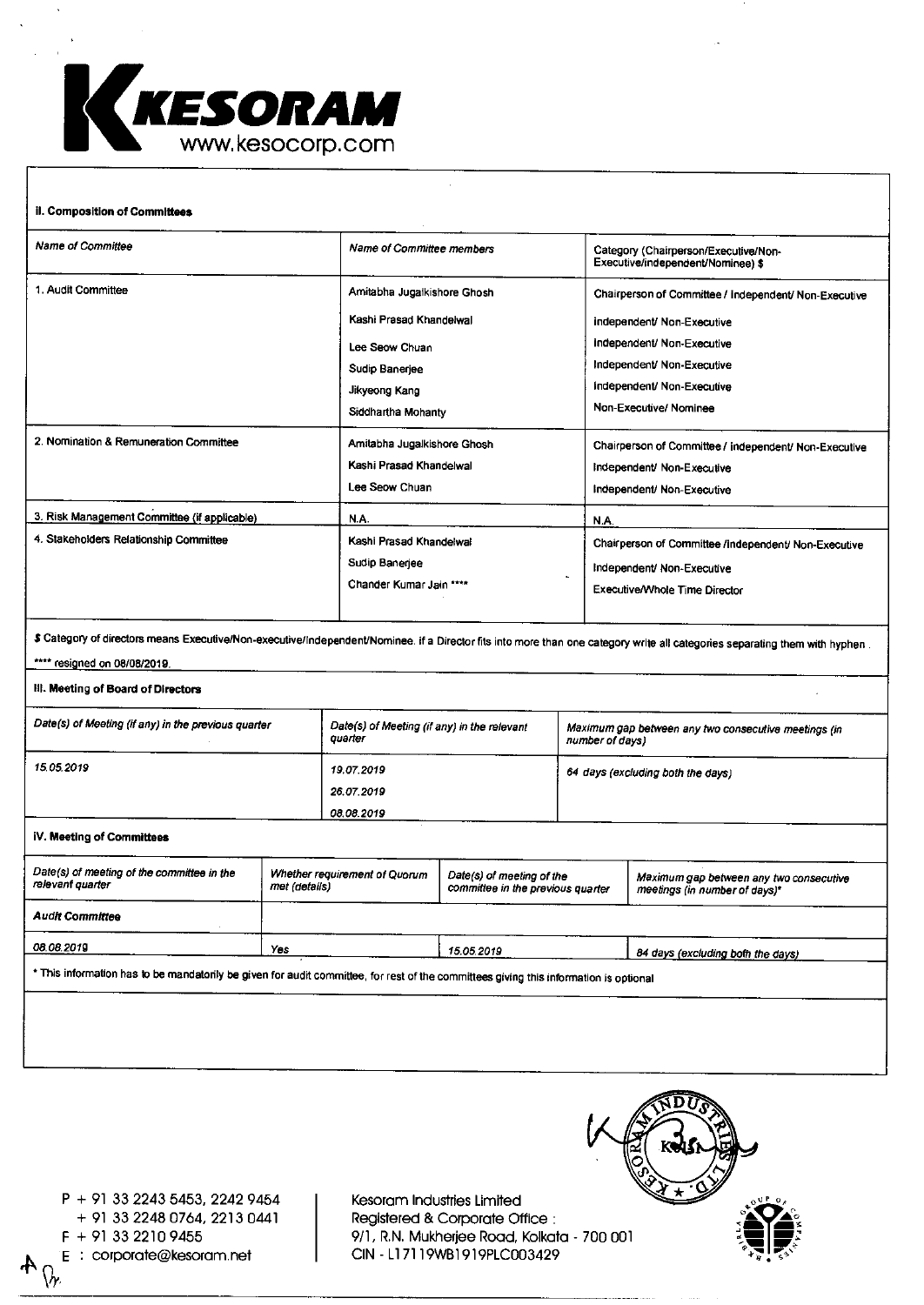

## il. Composition of Committees Name of Committee Name of Committee members and Category (Chairperson/Executive/Non-Executive/independent/Nominee) \$ 1. Audit Committee Amitabha Jugalkishore Ghosh Kashi Prasad Khandelwal Lee Seow Chuan Sudip Banerjee Jikyeong Kang Siddhartha Mohanty Chairperson of Committee / Independent/ Non-Executive Independent/ Non-Executive Independent/ Non-Executive Independent/ Non-Executive Independent/ Non-Executive Non-Executive/ Nominee 2. Nomination & Remuneration Committee Amitabha Jugalkishore Ghosh Kashi Prasad Khandelwal Lee Seow Chuan Chairperson of Committee / Independent/ Non-Executive Independent/ Non-Executive Independent/ Non-Executive 3. Risk Management Committee (if applicable) N.A. NA. 4. Stakeholders Relationship Committee Kashi Prasad Khandelwal Sudip Banerjee Chander Kumar Jain ••\*\* Chairperson of Committee /Independent/ Non-Executive Independent/ Non-Executive ExecutiveANhole Time Director \$ Category of directors means Executive/Non-executive/Independent/Nominee. if a Director fits into more than one category write all categories separating them with hyphen . \*\*\*\* resigned on 08/08/2019. III. Meeting of Board of Directors Date(s) of Meeting (if any) in the previous quarter Date(s) of Meeting (if any) in the relevant quarter Maximum gap between any two consecutive meetings (in number of days) 1505.2019 19.07.2019 26.07.2019 08.08.2019 64 days (excluding both the days) IV. Meeting of Committees Date(s) of meeting of the committee in the relevant quarter Whether requirement of Quorum met (details) Date(s) of meeting of the committee in the previous quarter Maximum gap between any two consecutive meetings (in number of days)' Audit Committee 08.08.2019 Wes 15.05.2019 84 days (excluding both the days) • This information has to be mandatorily be given for audit committee, for rest of the committees giving this information is optional

 $P + 91$  33 2243 5453, 2242 9454  $\mid$  Kesoram Industries Limited + 91 33 2248 0764, 2213 0441 Registered & Corporate Office : E : corporate@kesoram.net  $\Omega$ 

F + 91 33 2210 9455 9/1, R.N. Mukherjee Road, Kolkata - 700 001

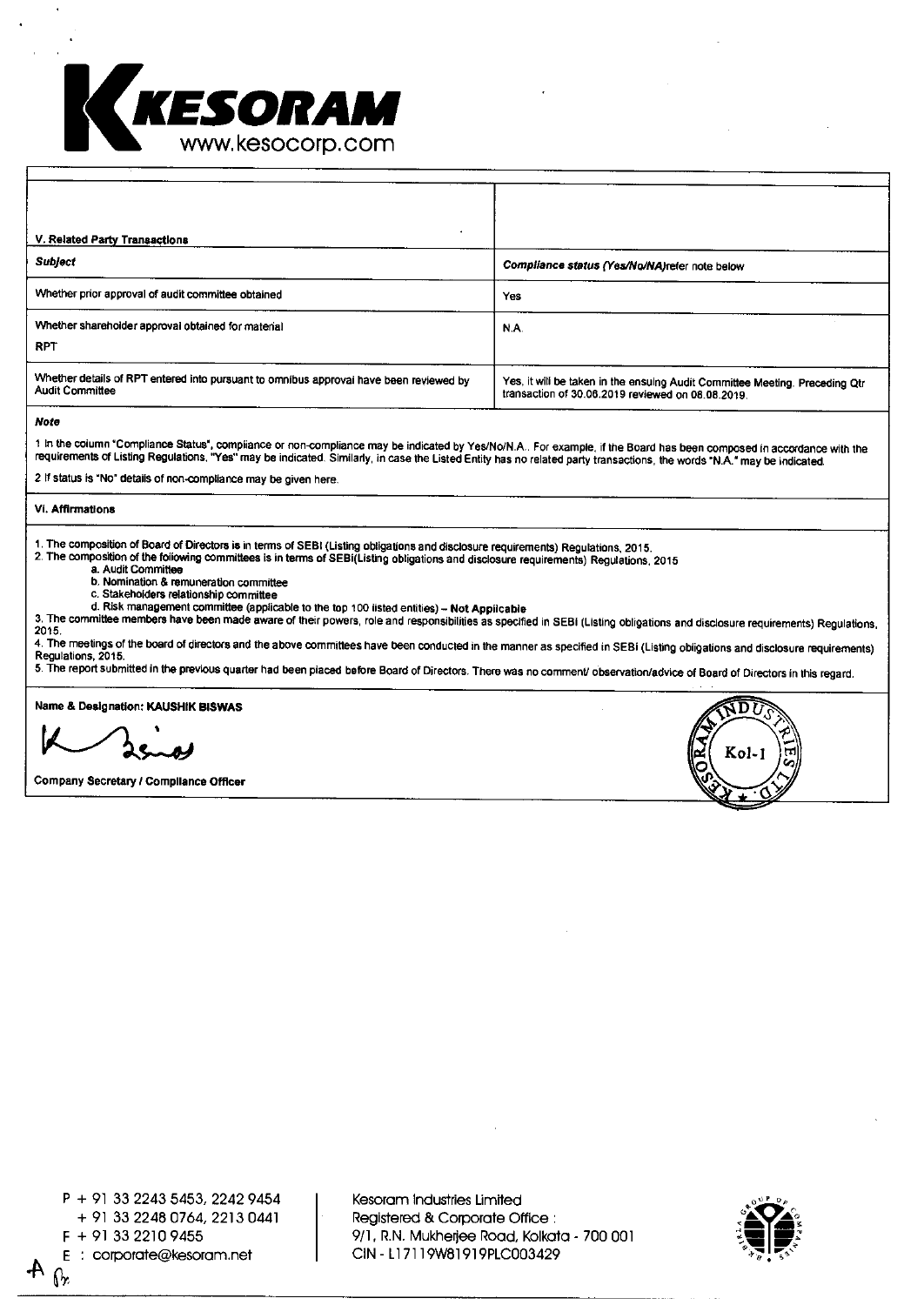

| V. Related Party Transactions                                                                                    |                                                                                                                                  |
|------------------------------------------------------------------------------------------------------------------|----------------------------------------------------------------------------------------------------------------------------------|
| <b>Subject</b>                                                                                                   | Compliance status (Yes/No/NA)refer note below                                                                                    |
| Whether prior approval of audit committee obtained                                                               | Yes                                                                                                                              |
| Whether shareholder approval obtained for material<br><b>RPT</b>                                                 | N.A.                                                                                                                             |
| Whether details of RPT entered into pursuant to omnibus approval have been reviewed by<br><b>Audit Committee</b> | Yes, it will be taken in the ensuing Audit Committee Meeting. Preceding Qtr<br>transaction of 30.06.2019 reviewed on 08.08.2019. |

Note

r in the column "Compliance Status", compliance or non-compliance may be indicated by Yes/No/N.A.. For example, if the Board has been composed in accordance with the<br>requirements of Listing Regulations, "Yes" may be indica

2 If status is "No" details of non-compliance may be given here.

VI. Affirmations

1. The composition of Board of Directors is in terms of SEBI (Listing obligations and disclosure requirements) Regulations, 2015.

2. The composition of the following committees is in terms of SEBI(Listing obligations and disclosure requirements) Regulations, 2015

a. Audit Committee

b. Nomination & remuneration committee

c. Stakeholders relationship committee

d. Risk management committee (applicable to the top 100 listed entities) — **Not Applicable** 

3. The committee members have been made aware of their powers, role and responsibilities as specified in SEBI (Listing obligations and disclosure requirements) Regulations, 2015.

4. The meetings of the board of directors and the above committees have been conducted in the manner as specified in SEBI (Listing obligations and disclosure requirements) Regulations, 2015.

5. The report submitted in the previous quarter had been placed before Board of Directors. There was no comment/ observation/advice of Board of Directors in this regard.

Name & **Designation: KAUSHIK BISWAS** 

K-2000

**Company Secretary / Compliance Officer** 

<sup>P</sup>+ 91 33 2243 5453, 2242 9454 + 91 33 2248 0764, 2213 0441 E: corporate@kesoram.net  $\overline{A}$  CIN - L17119W81919PLC003429

Kesoram Industries Limited Registered & Corporate Office : <sup>F</sup>+ 91 33 2210 9455 9/1, R.N. Mukherjee Road, Kolkata - 700 001



**S U** 

 $\sum_{n=1}^{\infty}$  Kol-1  $\sum_{n=1}^{\infty}$